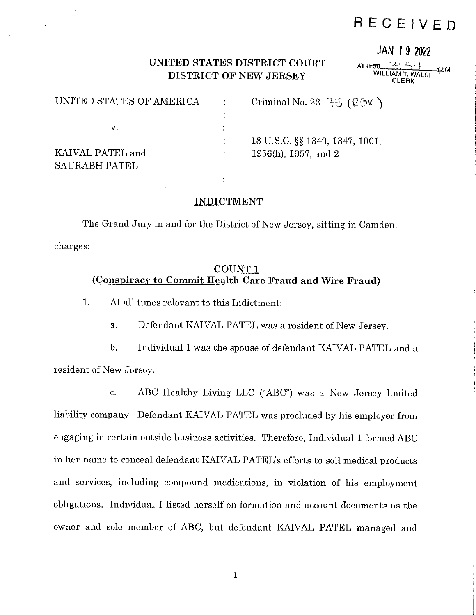# **RECEIVED**

### **JAN 1 9 2022**

### **UNITED STATES DISTRICT COURT DISTRICT OF NEW JERSEY**

 $AT 8:30$ WILLIAM T. WALSH **f2**  CLERK

| UNITED STATES OF AMERICA | Criminal No. 22- $35 (28\text{K})$ |
|--------------------------|------------------------------------|
|                          |                                    |
| v.                       |                                    |
|                          | 18 U.S.C. §§ 1349, 1347, 1001,     |
| KAIVAL PATEL and         | 1956(h), 1957, and 2               |
| <b>SAURABH PATEL</b>     |                                    |
|                          |                                    |

#### **INDICTMENT**

The Grand Jury in and for the District of New Jersey, sitting in Camden, charges:

### **COUNT 1 (Conspiracy to Commit Health Care Fraud and Wire Fraud)**

1. At all times relevant to this Indictment:

a. Defendant KAIVAL PATEL was a resident of New Jersey.

b. Individual **1** was the spouse of defendant KAIVAL PATEL and a resident of New Jersey.

c. ABC Healthy Living LLC ("ABC") was a New Jersey limited liability company. Defendant KAIVAL PATEL was precluded by his employer from engaging in certain outside business activities. Therefore, Individual 1 formed ABC in her name to conceal defendant KAIVAL PATEL's efforts to sell medical products and services, including compound medications, in violation of his employment obligations. Individual 1 listed herself on formation and account documents as the owner and sole member of ABC, but defendant KAIVAL PATEL managed and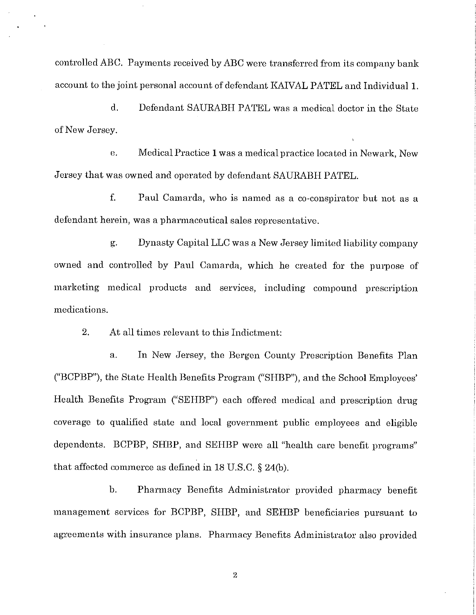controlled ABC. Payments received by ABC were transferred from its company bank account to the joint personal account of defendant KAIVAL PATEL and Individual 1.

d. Defendant SAURABH PATEL was a medical doctor in the State of New Jersey.

e. Medical Practice 1 was a medical practice located in Newark, New Jersey that was owned and operated by defendant SAURABH PATEL.

f. Paul Camarda, who is named as a co-conspirator but not as a defendant herein, was a pharmaceutical sales representative.

g. Dynasty Capital LLC was a New Jersey limited liability company owned and controlled by Paul Camarda, which he created for the purpose of marketing medical products and services, including compound prescription medications.

2. At all times relevant to this Indictment:

a. In New Jersey, the Bergen County Prescription Benefits Plan ("BCPBP"), the State Health Benefits Program ("SHEP"), and the School Employees' Health Benefits Program ("SEHBP") each offered medical and prescription drug coverage to qualified state and local government public employees and eligible dependents. BCPBP, SHBP, and SEHBP were all "health care benefit programs" that affected commerce as defined in 18 U.S.C. § 24(b).

b. Pharmacy Benefits Administrator provided pharmacy benefit management services for BCPBP, SHEP, and SEHBP beneficiaries pursuant to agreements with insurance plans. Pharmacy Benefits Administrator also provided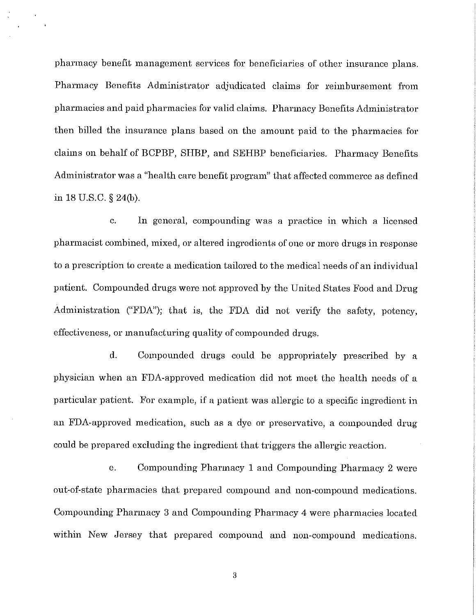pharmacy benefit management services for beneficiaries of other insurance plans. Pharmacy Benefits Administrator adjudicated claims for reimbursement from pharmacies and paid pharmacies for valid claims. Pharmacy Benefits Administrator then billed the insurance plans based on the amount paid to the pharmacies for claims on behalf of BCPBP, SHEP, and SEHBP beneficiaries. Pharmacy Benefits Administrator was a "health care benefit program" that affected commerce as defined in 18 U.S.C. § 24(b).

c. In general, compounding was a practice in which a licensed pharmacist combined, mixed, or altered ingredients of one or more drugs in response to a prescription to create a medication tailored to the medical needs of an individual patient. Compounded drugs were not approved by the United States Food and Drug Administration ("FDA"); that is, the FDA did not verify the safety, potency, effectiveness, or manufacturing quality of compounded drugs.

d. Compounded drugs could be appropriately prescribed by a physician when an FDA-approved medication did not meet the health needs of a particular patient. For example, if a patient was allergic to a specific ingredient in an FDA-approved medication, such as a dye or preservative, a compounded drug could be prepared excluding the ingredient that triggers the allergic reaction.

e. Compounding Pharmacy 1 and Compounding Pharmacy 2 were out-of-state pharmacies that prepared compound and non-compound medications. Compounding Pharmacy 3 and Compounding Pharmacy 4 were pharmacies located within New Jersey that prepared compound and non-compound medications.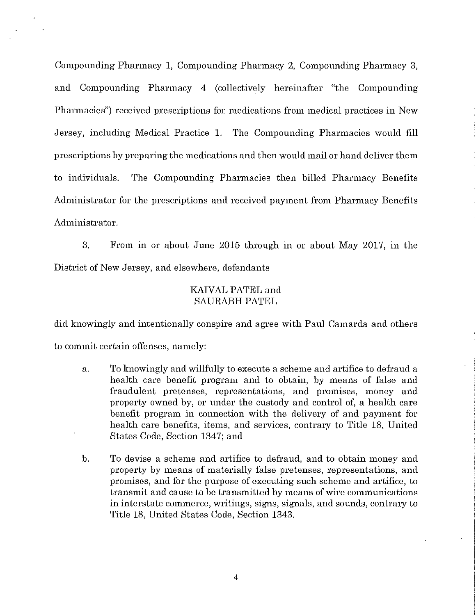Compounding Pharmacy 1, Compounding Pharmacy 2, Compounding Pharmacy 3, and Compounding Pharmacy 4 (collectively hereinafter "the Compounding Pharmacies") received prescriptions for medications from medical practices in New Jersey, including Medical Practice 1. The Compounding Pharmacies would fill prescriptions by preparing the medications and then would mail or hand deliver them to individuals. The Compounding Pharmacies then billed Pharmacy Benefits Administrator for the prescriptions and received payment from Pharmacy Benefits Administrator.

3. From in or about June 2015 through in or about May 2017, in the District of New Jersey, and elsewhere, defendants

### KAIVAL PATEL and SAURABH PATEL

did knowingly and intentionally conspire and agree with Paul Camarda and others to commit certain offenses, namely:

- a. To knowingly and willfully to execute a scheme and artifice to defraud a health care benefit program and to obtain, by means of false and fraudulent pretenses, representations, and promises, money and property owned by, or under the custody and control of, a health care benefit program in connection with the delivery of and payment for health care benefits, items, and services, contrary to Title 18, United States Code, Section 1347; and
- b. To devise a scheme and artifice to defraud, and to obtain money and property by means of materially false pretenses, representations, and promises, and for the purpose of executing such scheme and artifice, to transmit and cause to be transmitted by means of wire communications in interstate commerce, writings, signs, signals, and sounds, contrary to Title 18, United States Code, Section 1343.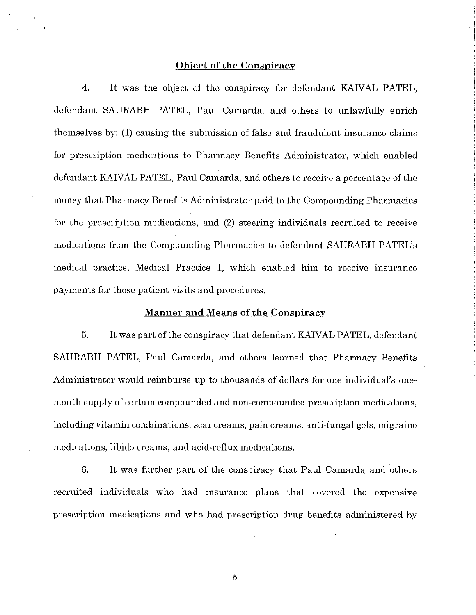#### **Object of the Conspiracy**

4. It was the object of the conspiracy for defendant KAIVAL PATEL, defendant SAURABH PATEL, Paul Camarda, and others to unlawfully enrich themselves by: (1) causing the submission of false and fraudulent insurance claims for prescription medications to Pharmacy Benefits Administrator, which enabled defendant KAIVAL PATEL, Paul Camarda, and others to receive a percentage of the money that Pharmacy Benefits Administrator paid to the Compounding Pharmacies for the prescription medications, and (2) steering individuals recruited to receive medications from the Compounding Pharmacies to defendant SAURABH PATEL's medical practice, Medical Practice 1, which enabled him to receive insurance payments for those patient visits and procedures.

#### **Manner and Means of the Conspiracy**

5. It was part of the conspiracy that defendant KAIVAL PATEL, defendant SAURABH PATEL, Paul Camarda, and others learned that Pharmacy Benefits Administrator would reimburse up to thousands of dollars for one individual's onemonth supply of certain compounded and non-compounded prescription medications, including vitamin combinations, scar creams, pain creams, anti-fungal gels, migraine medications, libido creams, and acid-reflux medications.

6. It was further part of the conspiracy that Paul Camarda and others recruited individuals who had insurance plans that covered the expensive prescription medications and who had prescription drug benefits administered by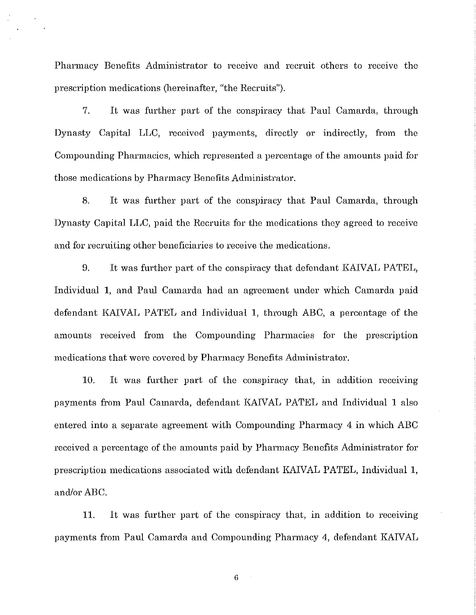Pharmacy Benefits Administrator to receive and recruit others to receive the prescription medications (hereinafter, "the Recruits'').

7. It was further part of the conspiracy that Paul Camarda, through Dynasty Capital LLC, received payments, directly or indirectly, from the Compounding Pharmacies, which represented a percentage of the amounts paid for those medications by Pharmacy Benefits Administrator.

8. It was further part of the conspiracy that Paul Camarda, through Dynasty Capital LLC, paid the Recruits for the medications they agreed to receive and for recruiting other beneficiaries to receive the medications.

9. It was further part of the conspiracy that defendant KAIVAL PATEL, Individual 1, and Paul Camarda had an agreement under which Camarda paid defendant KAIVAL PATEL and Individual 1, through ABC, a percentage of the amounts received from the Compounding Pharmacies for the prescription medications that were covered by Pharmacy Benefits Administrator.

10. It was further part of the conspiracy that, in addition receiving payments from Paul Camarda, defendant KAIVAL PATEL and Individual 1 also entered into a separate agreement with Compounding Pharmacy 4 in which ABC received a percentage of the amounts paid by Pharmacy Benefits Administrator for prescription medications associated with defendant KAIVAL PATEL, Individual 1, and/or ABC.

11. It was further part of the conspiracy that, in addition to receivmg payments from Paul Camarda and Compounding Pharmacy 4, defendant KAIVAL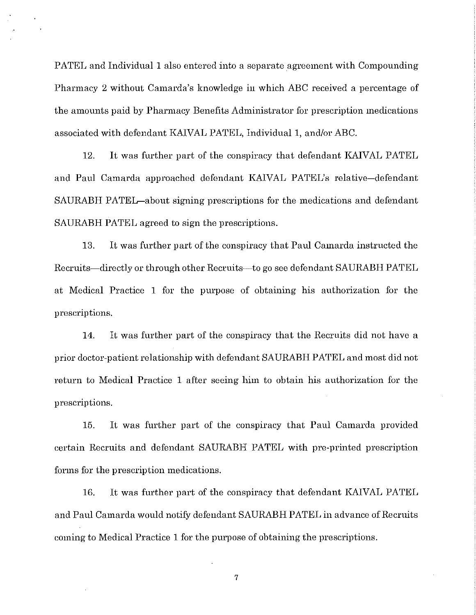PATEL and Individual 1 also entered into a separate agreement with Compounding Pharmacy 2 without Camarda's knowledge in which ABC received a percentage of the amounts paid by Pharmacy Benefits Administrator for prescription medications associated with defendant KAIVAL PATEL, Individual 1, and/or ABC.

12. It was further part of the conspiracy that defendant KAIVAL PATEL and Paul Camarda approached defendant KAIVAL PATEL's relative-defendant SAURABH PATEL-about signing prescriptions for the medications and defendant SAURABH PATEL agreed to sign the prescriptions.

13. It was further part of the conspiracy that Paul Camarda instructed the Recruits-directly or through other Recruits-to go see defendant SAURABH PATEL at Medical Practice 1 for the purpose of obtaining his authorization for the prescriptions.

14. It was further part of the conspiracy that the Recruits did not have a prior doctor-patient relationship with defendant SAURABH PATEL and most did not return to Medical Practice 1 after seeing him to obtain his authorization for the prescriptions.

15. It was further part of the conspiracy that Paul Camarda provided certain Recruits and defendant SAURABH PATEL with pre-printed prescription forms for the prescription medications.

16. It was further part of the conspiracy that defendant KAIVAL PATEL and Paul Camarda would notify defendant SAURABH PATEL in advance of Recruits coming to Medical Practice 1 for the purpose of obtaining the prescriptions.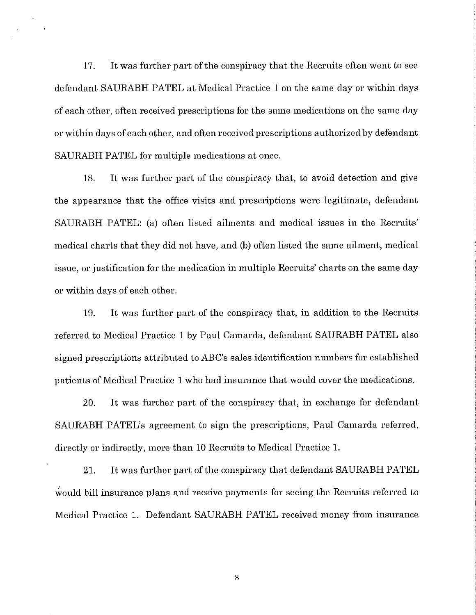17. It was further part of the conspiracy that the Recruits often went to see defendant SAURABH PATEL at Medical Practice 1 on the same day or within days of each other, often received prescriptions for the same medications on the same day or within days of each other, and often received prescriptions authorized by defendant SAURABH PATEL for multiple medications at once.

18. It was further part of the conspiracy that, to avoid detection and give the appearance that the office visits and prescriptions were legitimate, defendant SAURABH PATEL: (a) often listed ailments and medical issues in the Recruits' medical charts that they did not have, and (b) often listed the same ailment, medical issue, or justification for the medication in multiple Recruits' charts on the same day or within days of each other.

19. It was further part of the conspiracy that, in addition to the Recruits referred to Medical Practice 1 by Paul Camarda, defendant SAURABH PATEL also signed prescriptions attributed to ABC's sales identification numbers for established patients of Medical Practice 1 who had insurance that would cover the medications.

20. It was further part of the conspiracy that, in exchange for defendant SAURABH PATEL's agreement to sign the prescriptions, Paul Camarda referred, directly or indirectly, more than 10 Recruits to Medical Practice 1.

21. It was further part of the conspiracy that defendant SAURABH PATEL , would bill insurance plans and receive payments for seeing the Recruits referred to Medical Practice 1. Defendant SAURABH PATEL received money from insurance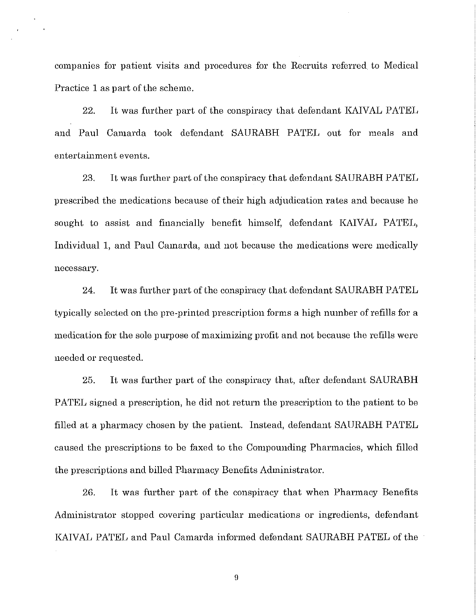companies for patient visits and procedures for the Recruits referred to Medical Practice 1 as part of the scheme.

22. It was further part of the conspiracy that defendant KAIVAL PATEL and Paul Camarda took defendant SAURABH PATEL out for meals and entertainment events.

23. It was further part of the conspiracy that defendant SAURABH PATEL prescribed the medications because of their high adjudication rates and because he sought to assist and financially benefit himself, defendant KAIVAL PATEL, Individual 1, and Paul Camarda, and not because the medications were medically necessary.

24. It was further part of the conspiracy that defendant SAURABH PATEL typically selected on the pre-printed prescription forms a high number of refills for a medication for the sole purpose of maximizing profit and not because the refills were needed or requested.

25. It was further part of the conspiracy that, after defendant SAURABH PATEL signed a prescription, he did not return the prescription to the patient to be filled at a pharmacy chosen by the patient. Instead, defendant SAURABH PATEL caused the prescriptions to be faxed to the Compounding Pharmacies, which filled the prescriptions and billed Pharmacy Benefits Administrator.

26. It was further part of the conspiracy that when Pharmacy Benefits Administrator stopped covering particular medications or ingredients, defendant KAIVAL PATEL and Paul Camarda informed defendant SAURABH PATEL of the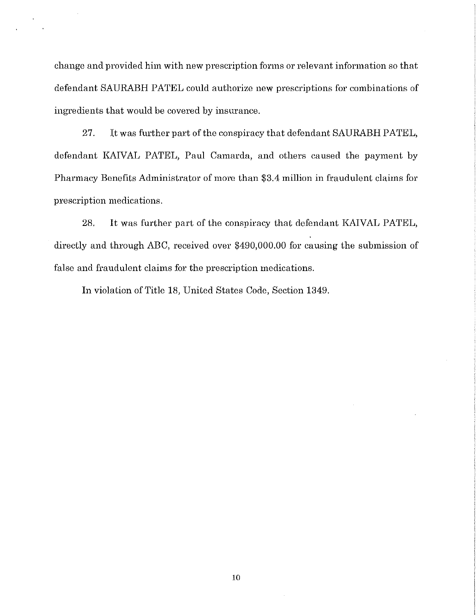change and provided him with new prescription forms or relevant information so that defendant SAURABH PATEL could authorize new prescriptions for combinations of ingredients that would be covered by insurance.

27. It was further part of the conspiracy that defendant SAURABH PATEL, defendant KAIVAL PATEL, Paul Camarda, and others caused the payment by Pharmacy Benefits Administrator of more than \$3.4 million in fraudulent claims for prescription medications.

28. It was further part of the conspiracy that defendant KAIVAL PATEL, directly and through ABC, received over \$490,000.00 for causing the submission of false and fraudulent claims for the prescription medications.

In violation of Title 18, United States Code, Section 1349.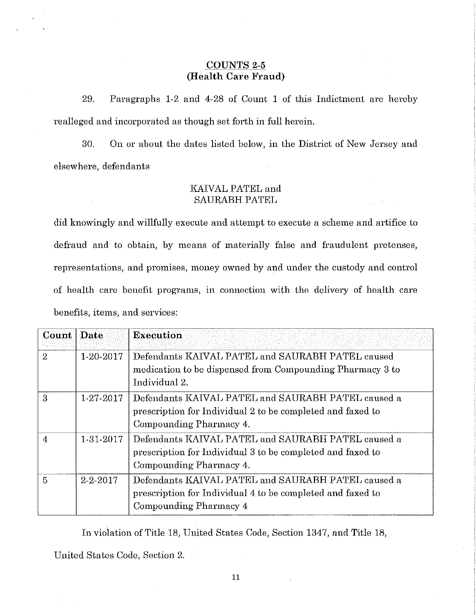### **COUNTS 2-5 (Health Care Fraud)**

29. Paragraphs 1-2 and 4-28 of Count 1 of this Indictment are hereby realleged and incorporated as though set forth in full herein.

30. On or about the dates listed below, in the District of New Jersey and elsewhere, defendants

### KAIVAL PATEL and SAURABH PATEL

did knowingly and willfully execute and attempt to execute a scheme and artifice to defraud and to obtain, by means of materially false and fraudulent pretenses, representations, and promises, money owned by and under the custody and control of health care benefit programs, in connection with the delivery of health care benefits, items, and services:

| Count   Date   |                | <b>Execution</b>                                           |
|----------------|----------------|------------------------------------------------------------|
| $\overline{2}$ | 1-20-2017      | Defendants KAIVAL PATEL and SAURABH PATEL caused           |
|                |                | medication to be dispensed from Compounding Pharmacy 3 to  |
|                |                | Individual 2.                                              |
| 3              | 1-27-2017      | Defendants KAIVAL PATEL and SAURABH PATEL caused a         |
|                |                | prescription for Individual 2 to be completed and faxed to |
|                |                | Compounding Pharmacy 4.                                    |
| 4              | 1-31-2017      | Defendants KAIVAL PATEL and SAURABH PATEL caused a         |
|                |                | prescription for Individual 3 to be completed and faxed to |
|                |                | Compounding Pharmacy 4.                                    |
| 5              | $2 - 2 - 2017$ | Defendants KAIVAL PATEL and SAURABH PATEL caused a         |
|                |                | prescription for Individual 4 to be completed and faxed to |
|                |                | Compounding Pharmacy 4                                     |

In violation of Title 18, United States Code, Section 1347, and Title 18,

United States Code, Section 2.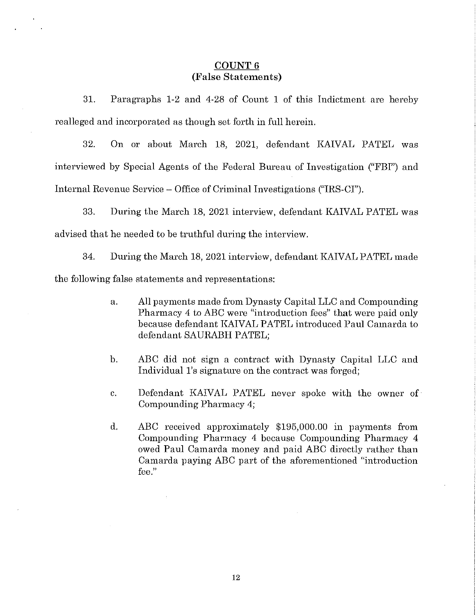### **COUNT6 (False Statements)**

31. Paragraphs 1-2 and 4-28 of Count 1 of this Indictment are hereby realleged and incorporated as though set forth in full herein.

32. On or about March 18, 2021, defendant KAIVAL PATEL was interviewed by Special Agents of the Federal Bureau of Investigation ("FBI") and Internal Revenue Service - Office of Criminal Investigations ("IRS-CI").

33. During the March 18, 2021 interview, defendant KAIVAL PATEL was advised that he needed to be truthful during the interview.

34. During the March 18, 2021 interview, defendant KAIVAL PATEL made the following false statements and representations:

- a. All payments made from Dynasty Capital LLC and Compounding Pharmacy 4 to ABC were "introduction fees" that were paid only because defendant KAIVAL PATEL introduced Paul Camarda to defendant SAURABH PATEL;
- b. ABC did not sign a contract with Dynasty Capital LLC and Individual 1's signature on the contract was forged;
- c. Defendant KAIVAL PATEL never spoke with the owner of Compounding Pharmacy 4;
- d. ABC received approximately \$195,000.00 in payments from Compounding Pharmacy 4 because Compounding Pharmacy 4 owed Paul Camarda money and paid ABC directly rather than Camarda paying ABC part of the aforementioned "introduction fee."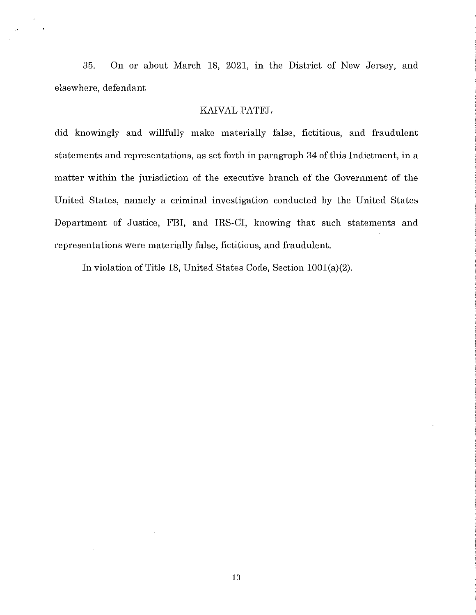35. On or about March 18, 2021, in the District of New Jersey, and elsewhere, defendant

#### KAIVAL PATEL

did knowingly and willfully make materially false, fictitious, and fraudulent statements and representations, as set forth in paragraph 34 of this Indictment, in a matter within the jurisdiction of the executive branch of the Government of the United States, namely a criminal investigation conducted by the United States Department of Justice, FBI, and IRS-CI, knowing that such statements and representations were materially false, fictitious, and fraudulent.

In violation of Title 18, United States Code, Section 1001(a)(2).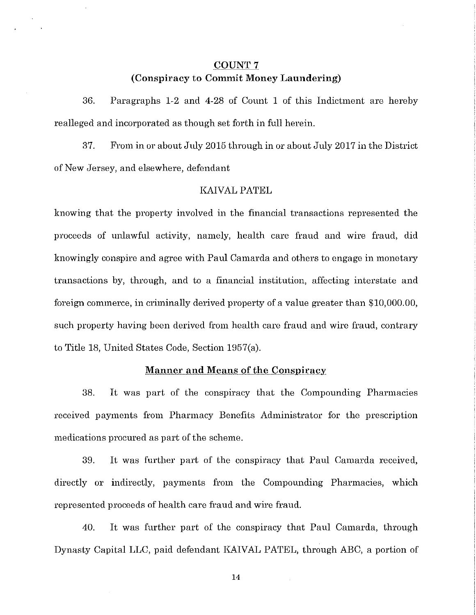### **COUNT** 7 **(Conspiracy** to **C01nmit Money Laundering)**

36. Paragraphs 1-2 and 4-28 of Count 1 of this Indictment are hereby realleged and incorporated as though set forth in full herein.

37. From in or about July 2015 through in or about July 2017 in the District of New Jersey, and elsewhere, defendant

### KAIVAL PATEL

knowing that the property involved in the financial transactions represented the proceeds of unlawful activity, namely, health care fraud and wire fraud, did knowingly conspire and agree with Paul Camarda and others to engage in monetary transactions by, through, and to a financial institution, affecting interstate and foreign commerce, in criminally derived property of a value greater than \$10,000.00, such property having been derived from health care fraud and wire fraud, contrary to Title 18, United States Code, Section 1957(a).

#### **Manner and Means of the Conspiracy**

38. It was part of the conspiracy that the Compounding Pharmacies received payments from Pharmacy Benefits Administrator for the prescription medications procured as part of the scheme.

39. It was further part of the conspiracy that Paul Camarda received, directly or indirectly, payments from the Compounding Pharmacies, which represented proceeds of health care fraud and wire fraud.

40. It was further part of the conspiracy that Paul Camarda, through Dynasty Capital LLC, paid defendant KAIVAL PATEL, through ABC, a portion of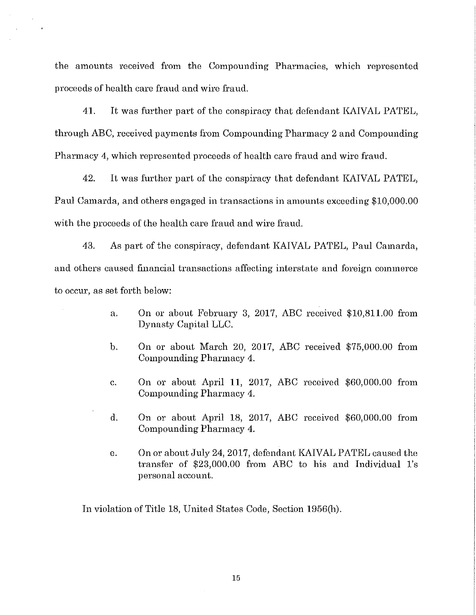the amounts received from the Compounding Pharmacies, which represented proceeds of health care fraud and wire fraud.

 $\hat{\mathbf{r}}$ 

41. It was further part of the conspiracy that defendant KAIVAL PATEL, through ABC, received payments from Compounding Pharmacy 2 and Compounding Pharmacy 4, which represented proceeds of health care fraud and wire fraud.

42. It was further part of the conspiracy that defendant KAIVAL PATEL, Paul Camarda, and others engaged in transactions in amounts exceeding \$10,000.00 with the proceeds of the health care fraud and wire fraud.

43. As part of the conspiracy, defendant KAIVAL PATEL, Paul Camarda, and others caused financial transactions affecting interstate and foreign commerce to occur, as set forth below:

- a. On or about February 3, 2017, ABC received \$10,811.00 from Dynasty Capital LLC.
- b. On or about March 20, 2017, ABC received \$75,000.00 from Compounding Pharmacy 4.
- c. On or about April 11, 2017, ABC received \$60,000.00 from Compounding Pharmacy 4.
- d. On or about April 18, 2017, ABC received \$60,000.00 from Compounding Pharmacy 4.
- e. On or about July 24, 2017, defendant KAIVAL PATEL caused the transfer of \$23,000.00 from ABC to his and Individual l's personal account.

In violation of Title 18, United States Code, Section 1956(h).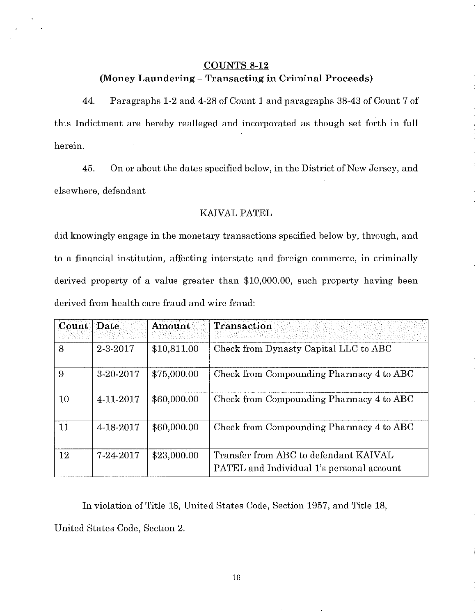#### **COUNTS 8-12**

### (Money Laundering - Transacting in Criminal Proceeds)

44. Paragraphs 1-2 and 4-28 of Count 1 and paragraphs 38-43 of Count 7 of this Indictment are hereby realleged and incorporated as though set forth in full herein.

45. On or about the dates specified below, in the District of New Jersey, and elsewhere, defendant

#### KAIVAL PATEL

did knowingly engage in the monetary transactions specified below by, through, and to a financial institution, affecting interstate and foreign commerce, in criminally derived property of a value greater than \$10,000.00, such property having been derived from health care fraud and wire fraud:

| Count Date |           | Amount      | Transaction                                                                               |
|------------|-----------|-------------|-------------------------------------------------------------------------------------------|
| 8          | 2-3-2017  | \$10,811.00 | Check from Dynasty Capital LLC to ABC                                                     |
| 9          | 3-20-2017 | \$75,000.00 | Check from Compounding Pharmacy 4 to ABC                                                  |
| $10\,$     | 4-11-2017 | \$60,000.00 | Check from Compounding Pharmacy 4 to ABC                                                  |
| 11         | 4-18-2017 | \$60,000.00 | Check from Compounding Pharmacy 4 to ABC                                                  |
| 12         | 7-24-2017 | \$23,000.00 | Transfer from ABC to defendant KAIVAL<br><b>PATEL</b> and Individual 1's personal account |

In violation of Title 18, United States Code, Section 1957, and Title 18, United States Code, Section 2.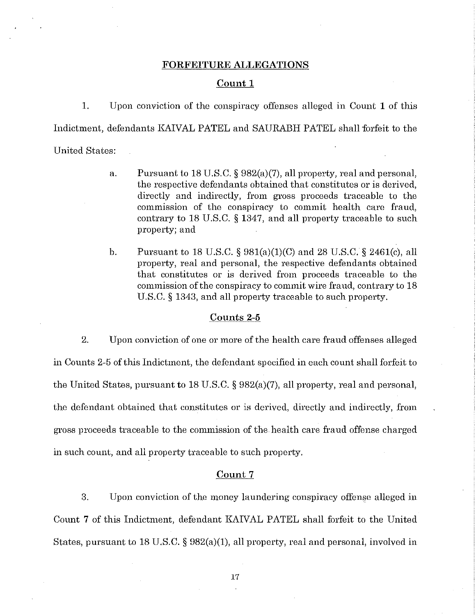#### **FORFEITURE ALLEGATIONS**

#### **Count 1**

1. Upon conviction of the conspiracy offenses alleged in Count 1 of this Indictment, defendants KAIVAL PATEL and SAURABH PATEL shall forfeit to the United States:

- a. Pursuant to 18 U.S.C. § 982(a)(7), all property, real and personal, the respective defendants obtained that constitutes or is derived, directly and indirectly, from gross proceeds traceable to the commission of the conspiracy to commit health care fraud, contrary to 18 U.S.C. § 1347, and all property traceable to such property; and
- b. Pursuant to 18 U.S.C. §  $981(a)(1)(C)$  and 28 U.S.C. § 2461(c), all property, real and personal, the respective defendants obtained that constitutes or is derived from proceeds traceable to the commission of the conspiracy to commit wire fraud, contrary to 18 U.S.C. § 1343, and all property traceable to such property.

#### **Counts 2-5**

2. Upon conviction of one or more of the health care fraud offenses alleged in Counts 2-5 of this Indictment, the defendant specified in each count shall forfeit to the United States, pursuant to 18 U.S.C. § 982(a)(7), all property, real and personal, the defendant obtained that constitutes or is derived, directly and indirectly, from gross proceeds traceable to the commission of the health care fraud offense charged in such count, and all property traceable to such property.

#### **Count7**

3. Upon conviction of the money laundering conspiracy offense alleged in Count 7 of this Indictment, defendant KAIVAL PATEL shall forfeit to the United States, pursuant to 18 U.S.C.  $\S 982(a)(1)$ , all property, real and personal, involved in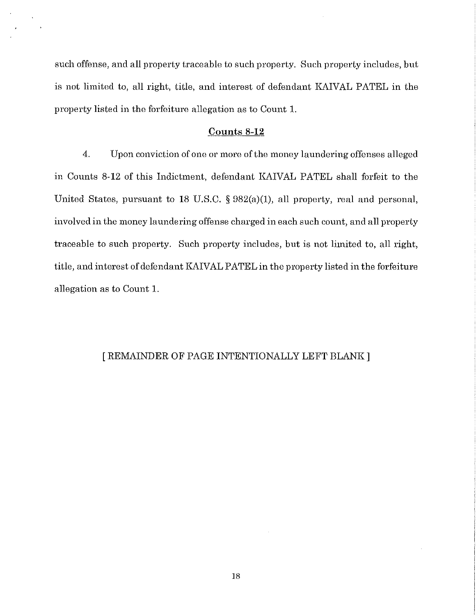such offense, and all property traceable to such property. Such property includes, but is not limited to, all right, title, and interest of defendant KAIVAL PATEL in the property listed in the forfeiture allegation as to Count 1.

#### **Counts 8-12**

4. Upon conviction of one or more of the money laundering offenses alleged in Counts 8-12 of this Indictment, defendant KAIVAL PATEL shall forfeit to the United States, pursuant to 18 U.S.C. § 982(a)(1), all property, real and personal, involved in the money laundering offense charged in each such count, and all property traceable to such property. Such property includes, but is not limited to, all right, title, and interest of defendant KAIVAL PATEL in the property listed in the forfeiture allegation as to Count 1.

### [ REMAINDER OF PAGE INTENTIONALLY LEFT BLANK]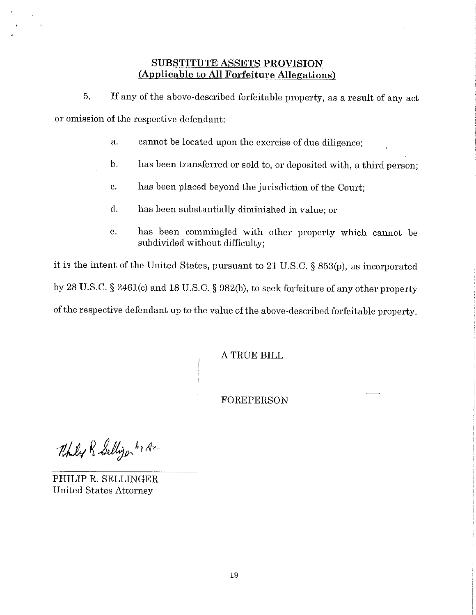### **SUBSTITUTE ASSETS PROVISION (Applicable to All Forfeiture Allegations)**

5. If any of the above-described forfeitable property, as a result of any act or omission of the respective defendant:

- a. cannot be located upon the exercise of due diligence;
- b. has been transferred or sold to, or deposited with, a third person;
- c. has been placed beyond the jurisdiction of the Court;
- d. has been substantially diminished in value; or
- e. has been commingled with other property which cannot be subdivided without difficulty;

it is the intent of the United States, pursuant to 21 U.S.C. § 853(p), as incorporated by 28 U.S.C. § 2461(c) and 18 U.S.C. § 982(b), to seek forfeiture of any other property of the respective defendant up to the value of the above-described forfeitable property.

A TRUE BILL

FOREPERSON

Thily R Selligon br Az

PHILIP R. SELLINGER United States Attorney